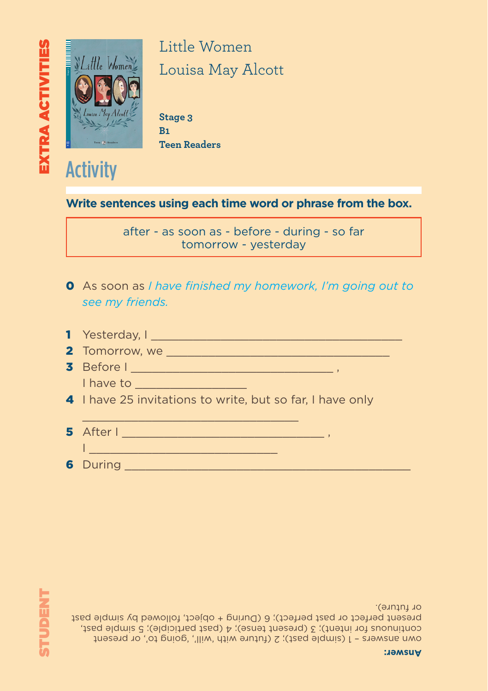own answers – 1 (simple past); 2 (future with 'will', 'going to', or present continuous for intent); 3 (present tense); 4 (past participle); 5 simple past, present perfect or past perfect); 6 (During + object, followed by simple past or future).

| 5 After I |  |  |
|-----------|--|--|
| 6 During  |  |  |

1 Yesterday, I \_\_\_\_\_\_\_\_\_\_\_\_\_\_\_\_\_\_\_\_\_\_\_\_\_\_\_\_\_\_\_\_\_\_\_\_

2 Tomorrow, we \_\_\_\_\_\_\_\_\_\_\_\_\_\_\_\_\_\_\_\_\_\_\_\_\_\_\_\_\_\_\_\_ 3 Before I \_\_\_\_\_\_\_\_\_\_\_\_\_\_\_\_\_\_\_\_\_\_\_\_\_\_\_\_\_ ,

4 I have 25 invitations to write, but so far, I have only

I have to a matter of the state of the state of the state of the state of the state of the state of the state

0 As soon as *I have finished my homework, I'm going out to see my friends.*

after - as soon as - before - during - so far tomorrow - yesterday

**Write sentences using each time word or phrase from the box.**

www.elireaders.com **Telescom Readers** Stage 3 **B1 Teen Readers**

- 5 *- A section focusing on* Little Women *at the cinema, theater, and on TV*

ELT

**Activity** 

 $\blacksquare$ 

**Eli Readers is a beautifully-illustrated series of timeless classics and specially-written stories for learners of English.**

Little Women Louisa May Alcott *Jo, Meg, Amy and Beth are the four March sisters, all very dierent, but*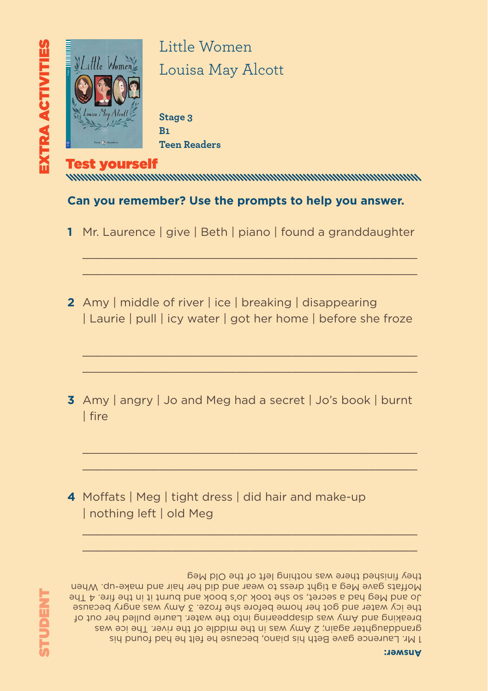

> Stage 3 **B1 Teen Readers**

## Test yourself

#### **Can you remember? Use the prompts to help you answer.**

**1** Mr. Laurence | give | Beth | piano | found a granddaughter

 $\_$  , and the set of the set of the set of the set of the set of the set of the set of the set of the set of the set of the set of the set of the set of the set of the set of the set of the set of the set of the set of th  $\_$  , and the set of the set of the set of the set of the set of the set of the set of the set of the set of the set of the set of the set of the set of the set of the set of the set of the set of the set of the set of th

**2** Amy | middle of river | ice | breaking | disappearing | Laurie | pull | icy water | got her home | before she froze

 $\_$  , and the set of the set of the set of the set of the set of the set of the set of the set of the set of the set of the set of the set of the set of the set of the set of the set of the set of the set of the set of th  $\mathcal{L}_\mathcal{L}$  , and the set of the set of the set of the set of the set of the set of the set of the set of the set of the set of the set of the set of the set of the set of the set of the set of the set of the set of th

**3** Amy | angry | Jo and Meg had a secret | Jo's book | burnt | fire

 $\mathcal{L}_\mathcal{L} = \{ \mathcal{L}_\mathcal{L} = \mathcal{L}_\mathcal{L} \}$  , where  $\mathcal{L}_\mathcal{L} = \{ \mathcal{L}_\mathcal{L} = \mathcal{L}_\mathcal{L} \}$  $\mathcal{L}_\mathcal{L}$  , and the set of the set of the set of the set of the set of the set of the set of the set of the set of the set of the set of the set of the set of the set of the set of the set of the set of the set of th

 $\mathcal{L}_\mathcal{L}$  , and the set of the set of the set of the set of the set of the set of the set of the set of the set of the set of the set of the set of the set of the set of the set of the set of the set of the set of th  $\mathcal{L}_\mathcal{L} = \{ \mathcal{L}_\mathcal{L} = \mathcal{L}_\mathcal{L} \}$  , where  $\mathcal{L}_\mathcal{L} = \{ \mathcal{L}_\mathcal{L} = \mathcal{L}_\mathcal{L} \}$ 

**4** Moffats | Meg | tight dress | did hair and make-up | nothing left | old Meg

#### **Answer:**

I Mr. Laurence gave Beth his piano, because he filt he had found his granddaughter again; 2 Amy was in the middle of the river. The ice was breaking and Amy was disappearing into the water. Laurie pulled her out of the icy water and got her home before she froze. 3 Amy was angry because

they finished there was nothing left of the Old Meg

Jo and Meg had a secret, so she took Jo's book and burnt it in the fire. 4 The Moffats gave Meg a tight dress to wear and did her hair and make-up. When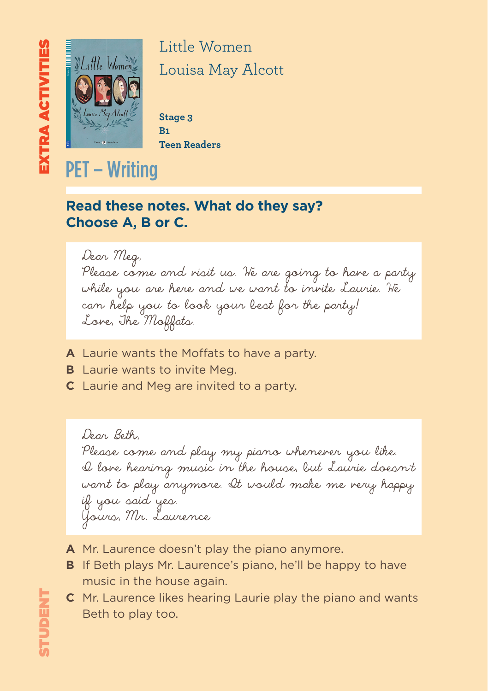

> Stage 3 **B1 Teen Readers**

## PET – Writing

### **Read these notes. What do they say? Choose A, B or C.**

Dear Meg, Please come and visit us. We are going to have a party while you are here and we want to invite Laurie. We can help you to look your best for the party! Love, The Moffats.

- **A** Laurie wants the Moffats to have a party.
- **B** Laurie wants to invite Meg.
- **C** Laurie and Meg are invited to a party.

Dear Beth, Please come and play my piano whenerer you like. I love hearing music in the house, but Laurie doesn't want to play anymore. It would make me very happy if you said yes. Yours, Mr. Laurence

- **A** Mr. Laurence doesn't play the piano anymore.
- **B** If Beth plays Mr. Laurence's piano, he'll be happy to have music in the house again.
- **C** Mr. Laurence likes hearing Laurie play the piano and wants Beth to play too.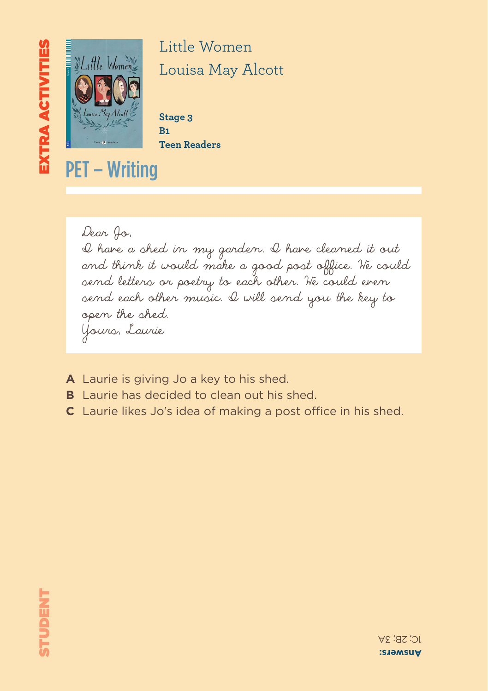

> Stage 3 **B1 Teen Readers**

PET – Writing

Dear Jo, I have a shed in my garden. I have cleaned it out and think it would make a good post office. We could send letters or poetry to each other. We could even send each other music. I will send you the key to open the shed. Yours, Laurie

- **A** Laurie is giving Jo a key to his shed.
- **B** Laurie has decided to clean out his shed.
- **C** Laurie likes Jo's idea of making a post office in his shed.